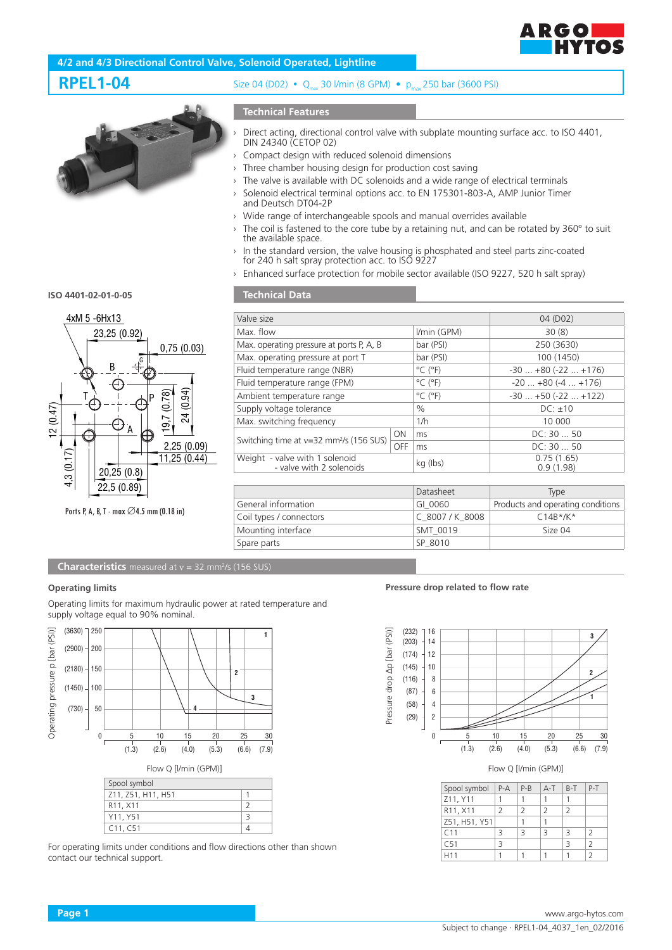

# **4/2 and 4/3 Directional Control Valve, Solenoid Operated, Lightline**

# **RPEL1-04** Size 04 (D02) • Q<sub>max</sub> 30 l/min (8 GPM) • p<sub>max</sub> 250 bar (3600 PSI)

# **Technical Features**

- - › Direct acting, directional control valve with subplate mounting surface acc. to ISO 4401, DIN 24340 (CETOP 02)
	- Compact design with reduced solenoid dimensions
	- $\rightarrow$  Three chamber housing design for production cost saving
	- › The valve is available with DC solenoids and a wide range of electrical terminals
	- Solenoid electrical terminal options acc. to EN 175301-803-A, AMP Junior Timer and Deutsch DT04-2P
	- › Wide range of interchangeable spools and manual overrides available
	- $\rightarrow$  The coil is fastened to the core tube by a retaining nut, and can be rotated by 360 $^{\circ}$  to suit the available space.
	- $\rightarrow$  In the standard version, the valve housing is phosphated and steel parts zinc-coated for 240 h salt spray protection acc. to ISO 9227
	- › Enhanced surface protection for mobile sector available (ISO 9227, 520 h salt spray)

#### **ISO 4401-02-01-0-05**



Ports P, A, B, T - max ∅4.5 mm (0.18 in)

### **Technical Data**

| Valve size                                                                |  |                              | 04 (D02)                     |  |
|---------------------------------------------------------------------------|--|------------------------------|------------------------------|--|
| Max. flow                                                                 |  | I/min (GPM)                  | 30(8)                        |  |
| Max. operating pressure at ports P, A, B                                  |  | bar (PSI)                    | 250 (3630)                   |  |
| Max. operating pressure at port T                                         |  | bar (PSI)                    | 100 (1450)                   |  |
| Fluid temperature range (NBR)                                             |  | $^{\circ}$ C ( $^{\circ}$ F) | $-30$ $+80$ ( $-22$ $+176$ ) |  |
| Fluid temperature range (FPM)                                             |  | $^{\circ}$ C ( $^{\circ}$ F) | $-20$ $+80$ ( $-4$ $+176$ )  |  |
| Ambient temperature range                                                 |  | $^{\circ}$ C ( $^{\circ}$ F) | $-30+50(-22+122)$            |  |
| Supply voltage tolerance                                                  |  | $\%$                         | $DC: \pm 10$                 |  |
| Max. switching frequency                                                  |  | 1/h                          | 10 000                       |  |
| <b>ON</b><br>Switching time at $v=32$ mm <sup>2</sup> /s (156 SUS)<br>OFF |  | ms                           | DC: 30 50                    |  |
|                                                                           |  | ms                           | DC: 30 50                    |  |
| Weight - valve with 1 solenoid<br>- valve with 2 solenoids                |  | kg (lbs)                     | 0.75(1.65)<br>0.9(1.98)      |  |
|                                                                           |  |                              |                              |  |

|                         | Datasheet       | Type                              |
|-------------------------|-----------------|-----------------------------------|
| General information     | GI 0060         | Products and operating conditions |
| Coil types / connectors | C 8007/K 8008   | $C14B*/K*$                        |
| Mounting interface      | <b>SMT 0019</b> | Size <sub>04</sub>                |
| Spare parts             | SP 8010         |                                   |

**Characteristics** measured at v = 32 mm<sup>2</sup>/s (156 SUS)

#### **Operating limits**

Operating limits for maximum hydraulic power at rated temperature and supply voltage equal to 90% nominal.



| Spool symbol                      |  |
|-----------------------------------|--|
| Z11, Z51, H11, H51                |  |
| R <sub>11</sub> , X <sub>11</sub> |  |
| Y11, Y51                          |  |
| C11. C51                          |  |

For operating limits under conditions and flow directions other than shown contact our technical support.

#### **Pressure drop related to flow rate**



| Spool symbol                      | $P-A$ | $P-B$         | $A-T$ $B-T$   |   | $P-T$         |
|-----------------------------------|-------|---------------|---------------|---|---------------|
| Z11, Y11                          |       |               |               |   |               |
| R <sub>11</sub> , X <sub>11</sub> | 2     | $\mathcal{L}$ | $\mathcal{L}$ | 2 |               |
| Z51, H51, Y51                     |       |               |               |   |               |
| C <sub>11</sub>                   | ₹     | 3             | 3             | 3 | $\mathcal{P}$ |
| C51                               | ₹     |               |               | ₹ | $\mathcal{P}$ |
| H <sub>11</sub>                   |       |               |               |   |               |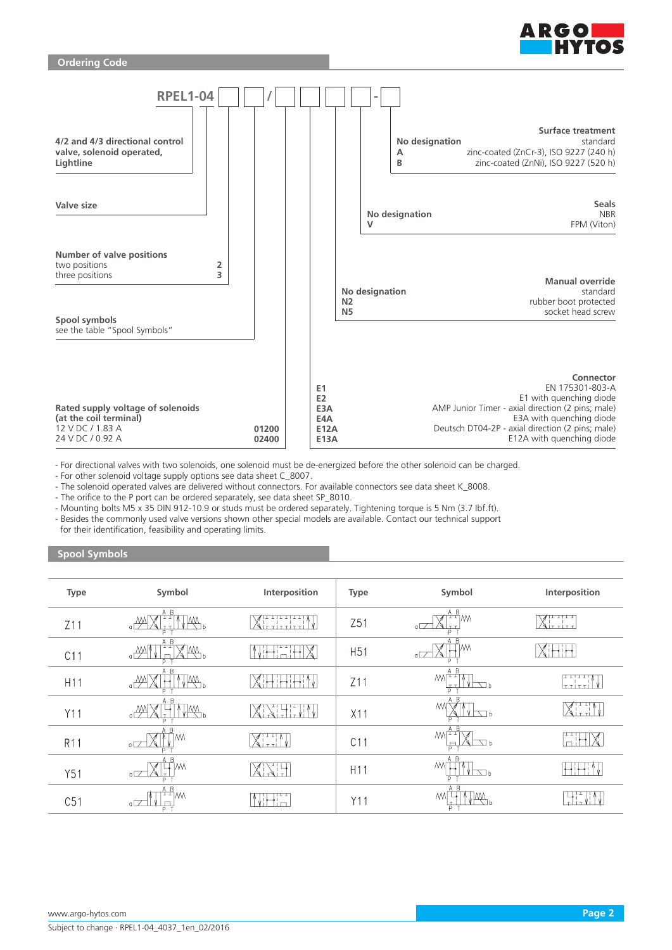



- For directional valves with two solenoids, one solenoid must be de-energized before the other solenoid can be charged.

- For other solenoid voltage supply options see data sheet C\_8007.

- The solenoid operated valves are delivered without connectors. For available connectors see data sheet K\_8008.

- The orifice to the P port can be ordered separately, see data sheet SP\_8010.

- Mounting bolts M5 x 35 DIN 912-10.9 or studs must be ordered separately. Tightening torque is 5 Nm (3.7 Ibf.ft).

- Besides the commonly used valve versions shown other special models are available. Contact our technical support for their identification, feasibility and operating limits.

#### **Spool Symbols**

| Type            | Symbol                                                      | Interposition                                                                                                                                                                                                                                                                                                                                                                                         | Type            | Symbol                                                    | Interposition                                                       |
|-----------------|-------------------------------------------------------------|-------------------------------------------------------------------------------------------------------------------------------------------------------------------------------------------------------------------------------------------------------------------------------------------------------------------------------------------------------------------------------------------------------|-----------------|-----------------------------------------------------------|---------------------------------------------------------------------|
| Z11             | A B<br>VЩ,<br>$\alpha$<br>r T<br>Þ                          | <b>TITITI</b><br>$\overline{1}$ $\overline{1}$ $\overline{1}$ $\overline{1}$ $\overline{1}$ $\overline{1}$ $\overline{1}$ $\overline{1}$ $\overline{1}$ $\overline{1}$ $\overline{1}$ $\overline{1}$ $\overline{1}$ $\overline{1}$ $\overline{1}$ $\overline{1}$ $\overline{1}$ $\overline{1}$ $\overline{1}$ $\overline{1}$ $\overline{1}$ $\overline{1}$ $\overline{1}$ $\overline{1}$ $\overline{$ | Z51             | $\frac{A B}{1 + 1}$ M<br>$\circ \Box$<br><u>It t</u><br>P | ד <del>ו</del> וד דד<br>Nittitt                                     |
| C11             | A B<br>$T_{\text{NN}}$<br>$\frac{1}{2}$<br>D                | $\mathbb{X}$<br>تا استا                                                                                                                                                                                                                                                                                                                                                                               | H <sub>51</sub> | A <sub>B</sub><br>٦M٨<br>$\sigma$<br>D                    |                                                                     |
| H <sub>11</sub> | A B<br>$\mathbb{R}$<br>$\frac{M}{\sigma}$                   | ! ←                                                                                                                                                                                                                                                                                                                                                                                                   | Z11             | A B<br><b>MFT</b><br>$V \Box$<br>TT.<br>Б                 | تتتبتت<br>$\frac{1}{1 + 1 + 1}$                                     |
| Y11             | A B<br>$\mathbb{M}_{\mathbb{R}}$<br>D                       | ╲╎┌┤╷╽<br>`V∣                                                                                                                                                                                                                                                                                                                                                                                         | X11             | A B<br><b>M</b><br>↽հ                                     | $X^{\scriptscriptstyle\text{H-II}}_{\scriptscriptstyle\text{H-II}}$ |
| <b>R11</b>      | A B<br>IΜ<br>$\sigma$ $\Box$                                | XI. i                                                                                                                                                                                                                                                                                                                                                                                                 | C11             | - B<br>ليبيا<br>⊟                                         | $\Box$                                                              |
| Y51             | $\overline{B}$<br>ЧM<br>XH<br>$\overline{\mathcal{C}}$<br>Þ |                                                                                                                                                                                                                                                                                                                                                                                                       | H <sub>11</sub> | A B<br>M)<br>$\sqrt{2}$<br>D.                             |                                                                     |
| C51             | $\frac{A-B}{1+1}$ M<br>a.<br>P                              | ਜਸ<br>ïп                                                                                                                                                                                                                                                                                                                                                                                              | Y11             | A B<br>W<br>$\sqrt{W}$<br>$\overline{P}$                  | 고도자                                                                 |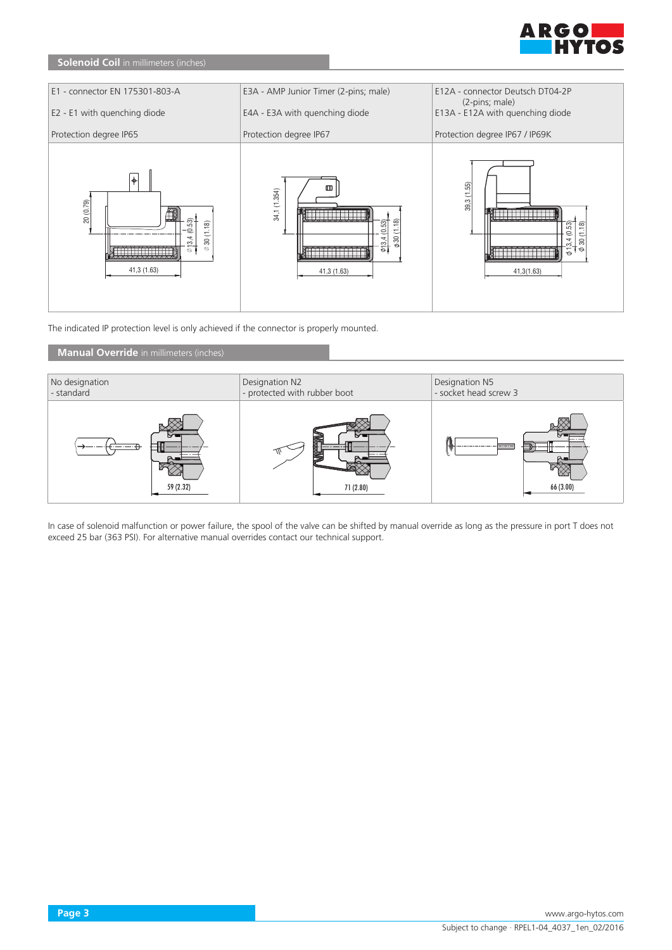

# **Solenoid Coil** in millimeters (inches)



The indicated IP protection level is only achieved if the connector is properly mounted.

# **Manual Override** in millimeters (inches)



In case of solenoid malfunction or power failure, the spool of the valve can be shifted by manual override as long as the pressure in port T does not exceed 25 bar (363 PSI). For alternative manual overrides contact our technical support.